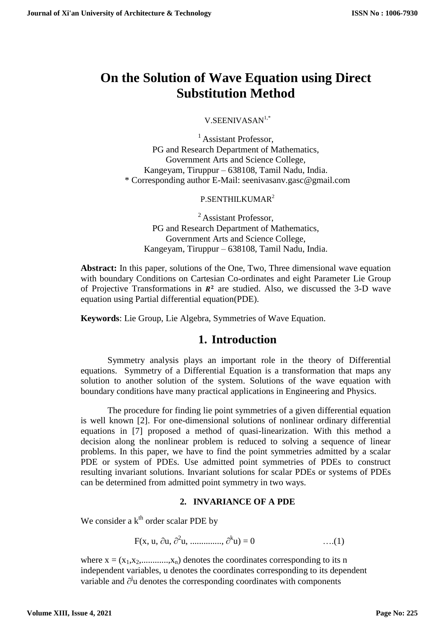# **On the Solution of Wave Equation using Direct Substitution Method**

V.SEENIVASAN1,\*

<sup>1</sup> Assistant Professor, PG and Research Department of Mathematics, Government Arts and Science College, Kangeyam, Tiruppur – 638108, Tamil Nadu, India. \* Corresponding author E-Mail: seenivasanv.gasc@gmail.com

# P.SENTHILKUMAR<sup>2</sup>

<sup>2</sup> Assistant Professor, PG and Research Department of Mathematics, Government Arts and Science College, Kangeyam, Tiruppur – 638108, Tamil Nadu, India.

**Abstract:** In this paper, solutions of the One, Two, Three dimensional wave equation with boundary Conditions on Cartesian Co-ordinates and eight Parameter Lie Group of Projective Transformations in  $\mathbb{R}^2$  are studied. Also, we discussed the 3-D wave equation using Partial differential equation(PDE).

**Keywords**: Lie Group, Lie Algebra, Symmetries of Wave Equation.

# **1. Introduction**

Symmetry analysis plays an important role in the theory of Differential equations. Symmetry of a Differential Equation is a transformation that maps any solution to another solution of the system. Solutions of the wave equation with boundary conditions have many practical applications in Engineering and Physics.

The procedure for finding lie point symmetries of a given differential equation is well known [2]. For one-dimensional solutions of nonlinear ordinary differential equations in [7] proposed a method of quasi-linearization. With this method a decision along the nonlinear problem is reduced to solving a sequence of linear problems. In this paper, we have to find the point symmetries admitted by a scalar PDE or system of PDEs. Use admitted point symmetries of PDEs to construct resulting invariant solutions. Invariant solutions for scalar PDEs or systems of PDEs can be determined from admitted point symmetry in two ways.

## **2. INVARIANCE OF A PDE**

We consider a k<sup>th</sup> order scalar PDE by

F(x, u,  $\partial$ u,  $\partial^2$ u, ..............,  $\partial^k$  $\dots(1)$ 

where  $x = (x_1, x_2, \dots, x_n)$  denotes the coordinates corresponding to its n independent variables, u denotes the coordinates corresponding to its dependent variable and  $\partial^j u$  denotes the corresponding coordinates with components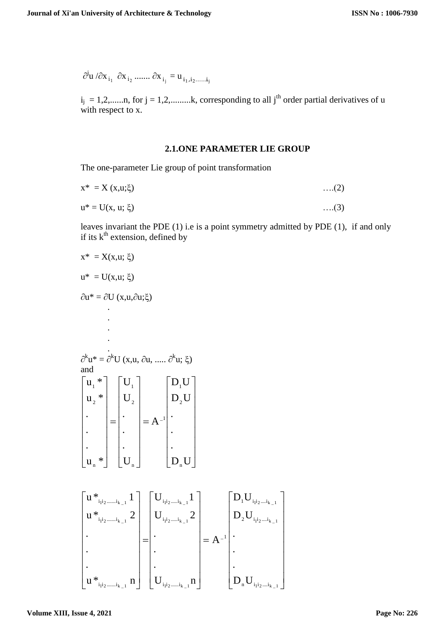$\partial^j u / \partial x_{i_1} \partial x_{i_2} ..... \partial x_{i_j} = u_{i_1, i_2, ..., i_j}$ 

 $i_j = 1, 2, \dots, n$ , for  $j = 1, 2, \dots, k$ , corresponding to all  $j<sup>th</sup>$  order partial derivatives of u with respect to x.

### **2.1.ONE PARAMETER LIE GROUP**

The one-parameter Lie group of point transformation

$$
x^* = X(x, u; \xi) \tag{2}
$$

$$
u^* = U(x, u; \xi) \tag{3}
$$

leaves invariant the PDE (1) i.e is a point symmetry admitted by PDE (1), if and only if its  $k^{\text{th}}$  extension, defined by

$$
x^* = X(x, u; \xi)
$$
\n
$$
u^* = U(x, u; \xi)
$$
\n
$$
\partial u^* = \partial U(x, u, \partial u; \xi)
$$
\n
$$
\vdots
$$
\n
$$
\partial^k u^* = \partial^k U(x, u, \partial u, \dots, \partial^k u; \xi)
$$
\nand\n
$$
\begin{bmatrix}\nu_1^* \\
u_2^* \\
\vdots \\
u_n^*\n\end{bmatrix}\n\begin{bmatrix}\nU_1 \\
U_2 \\
\vdots \\
U_n\n\end{bmatrix}\n= A^{-1}\n\begin{bmatrix}\nD_1 U \\
D_2 U \\
\vdots \\
D_n U\n\end{bmatrix}
$$
\n
$$
\begin{bmatrix}\nu^*_{i_1 i_2, \dots, i_{k-1}} 1 \\
u^*_{i_1 i_2, \dots, i_{k-1}} 2 \\
\vdots \\
u^*_{i_1 i_2, \dots, i_{k-1}} 1\n\end{bmatrix}\n\begin{bmatrix}\nU_{i_1 i_2, \dots, i_{k-1}} \\
U_{i_1 i_2, \dots, i_{k-1}} 2 \\
\vdots \\
U_{i_1 i_2, \dots, i_{k-1}} 1\n\end{bmatrix}\n= A^{-1}\n\begin{bmatrix}\nD_1 U_{i_1 i_2, \dots, i_{k-1}} \\
D_2 U_{i_1 i_2, \dots, i_{k-1}} \\
\vdots \\
D_n U_{i_1 i_2, \dots, i_{k-1}} 1\n\end{bmatrix}
$$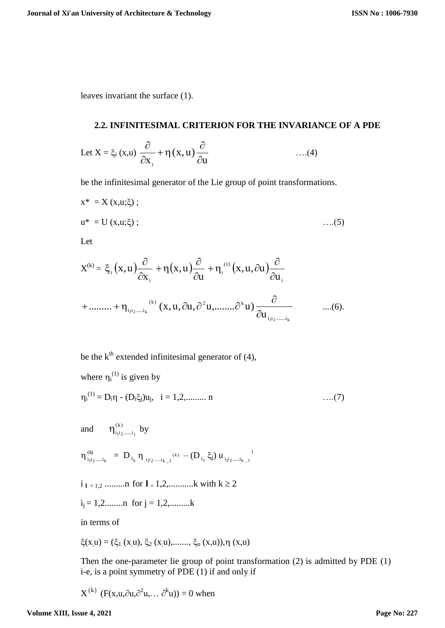leaves invariant the surface (1).

#### **2.2. INFINITESIMAL CRITERION FOR THE INVARIANCE OF A PDE**

Let 
$$
X = \xi_i(x, u) \frac{\partial}{\partial x_i} + \eta(x, u) \frac{\partial}{\partial u}
$$
 ....(4)

be the infinitesimal generator of the Lie group of point transformations.

$$
x^* = X(x, u; \xi);
$$
  
\n
$$
u^* = U(x, u; \xi);
$$
...(5)  
\nLet  
\n
$$
X^{(k)} = \xi_i(x, u) \frac{\partial}{\partial x_i} + \eta(x, u) \frac{\partial}{\partial u} + \eta_i^{(1)}(x, u, \partial u) \frac{\partial}{\partial u_i}
$$

+
$$
+\dots+\eta_{i_1i_2\dots i_k}^{(k)}(x,u,\partial u,\partial^2 u,\dots\dots\partial^k u)\frac{\partial}{\partial u_{i_1i_2\dots i_k}}\qquad \dots(6).
$$

i

be the  $k<sup>th</sup>$  extended infinitesimal generator of (4),

i

where 
$$
\eta_i^{(1)}
$$
 is given by  
\n
$$
\eta_i^{(1)} = D_i \eta - (D_i \xi_j) u_j, \quad i = 1, 2, \dots, n
$$
\n
$$
\dots (7)
$$
\nand\n
$$
\eta_{i_1 i_2 \dots i_k}^{(k)} = D_{i_k} \eta_{i_1 i_2 \dots i_{k-1}}^{(k)} - (D_{i_k} \xi_j) u_{i_1 i_2 \dots i_{k-1}}^{j}
$$
\n
$$
i_{1 = 1, 2} \dots \dots \dots n \text{ for } l = 1, 2, \dots \dots \dots k \text{ with } k \ge 2
$$
\n
$$
i_j = 1, 2, \dots \dots n \text{ for } j = 1, 2, \dots \dots k
$$

in terms of

$$
\xi(x, u) = (\xi_1(x, u), \xi_2(x, u), \dots, \xi_n(x, u)), \eta(x, u)
$$

Then the one-parameter lie group of point transformation (2) is admitted by PDE (1) i-e, is a point symmetry of PDE (1) if and only if

 $X^{(k)}$  (F(x,u, $\partial u, \partial^2 u, \dots \partial^k u$ )) = 0 when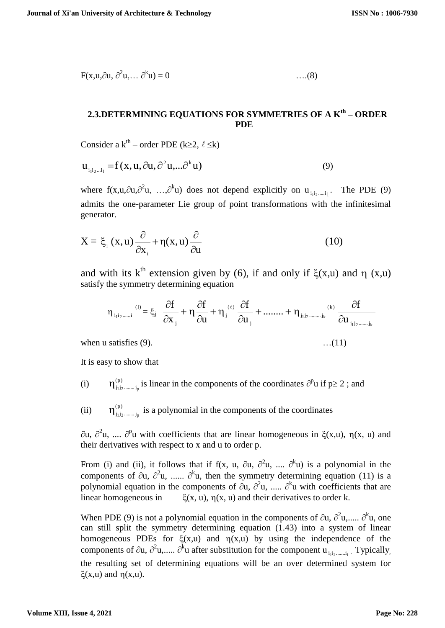$$
F(x, u, \partial u, \partial^2 u, \dots \partial^k u) = 0 \qquad \dots (8)
$$

# **2.3.DETERMINING EQUATIONS FOR SYMMETRIES OF A Kth – ORDER PDE**

Consider a k<sup>th</sup> – order PDE (k≥2,  $\ell \leq k$ )

$$
\mathbf{u}_{i_1i_2\ldots i_l} = f(x, u, \partial u, \partial^2 u, \ldots \partial^k u)
$$
\n(9)

where  $f(x, u, \partial u, \partial^2 u, ..., \partial^k u)$  does not depend explicitly on  $u_{i_1 i_2 \dots i_l}$ . The PDE (9) admits the one-parameter Lie group of point transformations with the infinitesimal generator.

$$
X = \xi_i(x, u) \frac{\partial}{\partial x_i} + \eta(x, u) \frac{\partial}{\partial u}
$$
 (10)

and with its  $k^{th}$  extension given by (6), if and only if  $\zeta(x,u)$  and n (x,u) satisfy the symmetry determining equation

$$
\eta_{_{i_1i_2,\ldots,i_l}}^{(l)}=\xi_j\left(\frac{\partial f}{\partial x_{_j}}+\eta\frac{\partial f}{\partial u}+\eta_{_j}^{(\ell)}\frac{\partial f}{\partial u_{_j}}+\ldots\ldots+\eta_{_{j_1j_2,\ldots,j_k}}^{(k)}\frac{\partial f}{\partial u_{_{j_1j_2,\ldots,j_k}}}
$$

when u satisfies  $(9)$ .  $(11)$ 

It is easy to show that

(i) (p)  $\eta_{j_1j_2,\dots,j_p}^{(p)}$  is linear in the components of the coordinates  $\partial^p u$  if  $p \ge 2$ ; and

(ii) (p)  $\eta_{j_1 j_2 \dots j_p}^{(p)}$  is a polynomial in the components of the coordinates

 $\partial u$ ,  $\partial^2 u$ , ....  $\partial^p u$  with coefficients that are linear homogeneous in  $\xi(x,u)$ ,  $\eta(x, u)$  and their derivatives with respect to x and u to order p.

From (i) and (ii), it follows that if  $f(x, u, \partial u, \partial^2 u, ..., \partial^k u)$  is a polynomial in the components of  $\partial u$ ,  $\partial^2 u$ , ......  $\partial^k u$ , then the symmetry determining equation (11) is a polynomial equation in the components of  $\partial u$ ,  $\partial^2 u$ , .....  $\partial^k u$  with coefficients that are linear homogeneous in  $\zeta(x, u)$ ,  $\eta(x, u)$  and their derivatives to order k.

When PDE (9) is not a polynomial equation in the components of  $\partial u$ ,  $\partial^2 u$ ,.....  $\partial^k u$ , one can still split the symmetry determining equation  $(1.43)$  into a system of linear homogeneous PDEs for  $\xi(x,u)$  and  $\eta(x,u)$  by using the independence of the components of  $\partial u$ ,  $\partial^2 u$ ,.....  $\partial^k u$  after substitution for the component  $u_{i_1 i_2 \dots i_l}$ . Typically, the resulting set of determining equations will be an over determined system for  $\xi(x,u)$  and  $\eta(x,u)$ .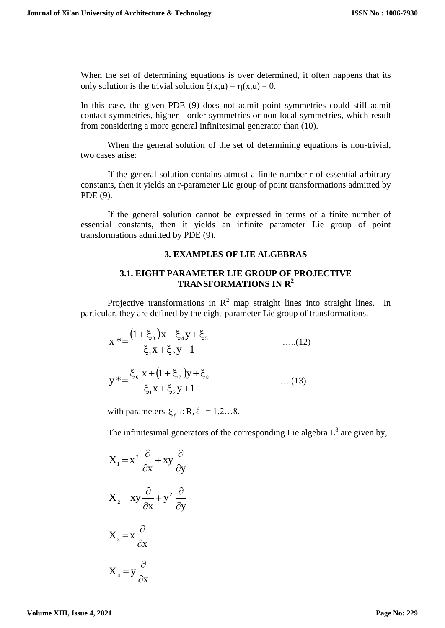When the set of determining equations is over determined, it often happens that its only solution is the trivial solution  $\zeta(x,u) = \eta(x,u) = 0$ .

In this case, the given PDE (9) does not admit point symmetries could still admit contact symmetries, higher - order symmetries or non-local symmetries, which result from considering a more general infinitesimal generator than (10).

When the general solution of the set of determining equations is non-trivial, two cases arise:

If the general solution contains atmost a finite number r of essential arbitrary constants, then it yields an r-parameter Lie group of point transformations admitted by PDE (9).

If the general solution cannot be expressed in terms of a finite number of essential constants, then it yields an infinite parameter Lie group of point transformations admitted by PDE (9).

### **3. EXAMPLES OF LIE ALGEBRAS**

## **3.1. EIGHT PARAMETER LIE GROUP OF PROJECTIVE TRANSFORMATIONS IN R<sup>2</sup>**

Projective transformations in  $\mathbb{R}^2$  map straight lines into straight lines. In particular, they are defined by the eight-parameter Lie group of transformations.

$$
x^* = \frac{(1 + \xi_3)x + \xi_4y + \xi_5}{\xi_1x + \xi_2y + 1}
$$
 ....(12)  

$$
y^* = \frac{\xi_6 x + (1 + \xi_7)y + \xi_8}{\xi_1x + \xi_2y + 1}
$$
 ....(13)

with parameters  $\xi_{\ell}$   $\epsilon$  R,  $\ell$  = 1,2...8.

The infinitesimal generators of the corresponding Lie algebra  $L^8$  are given by,

$$
X_1 = x^2 \frac{\partial}{\partial x} + xy \frac{\partial}{\partial y}
$$
  

$$
X_2 = xy \frac{\partial}{\partial x} + y^2 \frac{\partial}{\partial y}
$$
  

$$
X_3 = x \frac{\partial}{\partial x}
$$
  

$$
X_4 = y \frac{\partial}{\partial x}
$$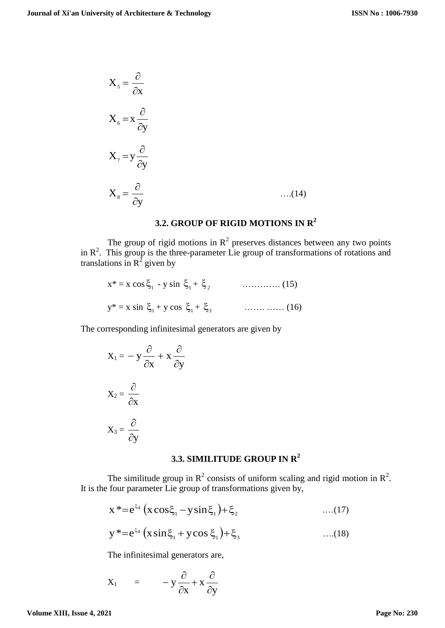$$
X_{5} = \frac{\partial}{\partial x}
$$
  
\n
$$
X_{6} = x \frac{\partial}{\partial y}
$$
  
\n
$$
X_{7} = y \frac{\partial}{\partial y}
$$
  
\n
$$
X_{8} = \frac{\partial}{\partial y}
$$
...(14)

# **3.2. GROUP OF RIGID MOTIONS IN R<sup>2</sup>**

The group of rigid motions in  $\mathbb{R}^2$  preserves distances between any two points in  $\mathbb{R}^2$ . This group is the three-parameter Lie group of transformations of rotations and translations in  $R^2$  given by

$$
x^* = x \cos \xi_1 - y \sin \xi_1 + \xi_2
$$
 (15)  

$$
y^* = x \sin \xi_1 + y \cos \xi_1 + \xi_3
$$
 (16)

The corresponding infinitesimal generators are given by

$$
X_1 = -y\frac{\partial}{\partial x} + x\frac{\partial}{\partial y}
$$

$$
X_2 = \frac{\partial}{\partial x}
$$

$$
X_3 = \frac{\partial}{\partial y}
$$

# **3.3. SIMILITUDE GROUP IN R<sup>2</sup>**

The similitude group in  $R^2$  consists of uniform scaling and rigid motion in  $R^2$ . It is the four parameter Lie group of transformations given by,

$$
x^* = e^{\xi_4} (x \cos \xi_1 - y \sin \xi_1) + \xi_2 \qquad \qquad \dots (17)
$$
  

$$
y^* = e^{\xi_4} (x \sin \xi_1 + y \cos \xi_1) + \xi_3 \qquad \dots (18)
$$

The infinitesimal generators are,

$$
X_1 = -y\frac{\partial}{\partial x} + x\frac{\partial}{\partial y}
$$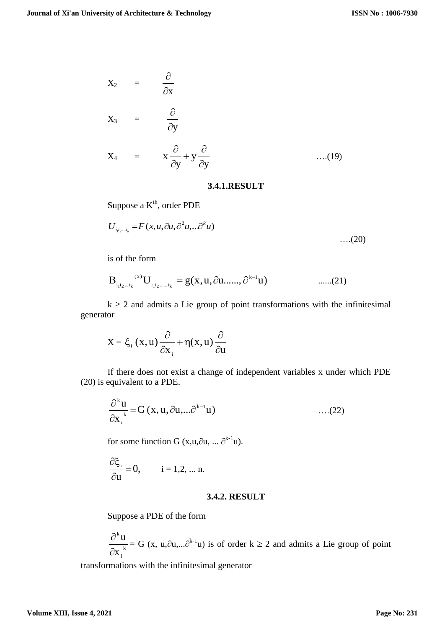$$
X_2 = \frac{\partial}{\partial x}
$$
  
\n
$$
X_3 = \frac{\partial}{\partial y}
$$
  
\n
$$
X_4 = x \frac{\partial}{\partial x} + y \frac{\partial}{\partial y}
$$
 ....(19)

y

 $\partial$ 

y

 $\partial$ 

#### **3.4.1.RESULT**

Suppose a K<sup>th</sup>, order PDE

$$
U_{i_1i_2\ldots i_k} = F(x, u, \partial u, \partial^2 u, \ldots \partial^k u)
$$
...(20)

is of the form

 $X_4 =$ 

$$
B_{i_1 i_2 \dots i_k}^{(x)} U_{i_1 i_2 \dots i_k} = g(x, u, \partial u, \dots, \partial^{k-1} u) \qquad \dots \dots (21)
$$

 $k \ge 2$  and admits a Lie group of point transformations with the infinitesimal generator

$$
X = \xi_i(x, u) \frac{\partial}{\partial x_i} + \eta(x, u) \frac{\partial}{\partial u}
$$

If there does not exist a change of independent variables x under which PDE (20) is equivalent to a PDE.

$$
\frac{\partial^{k} u}{\partial x_{i}^{k}} = G(x, u, \partial u, \dots \partial^{k-1} u)
$$
...(22)

for some function G  $(x, u, \partial u, ... \partial^{k-1}u)$ .

$$
\frac{\partial \xi_i}{\partial u}=0, \qquad \ \, i=1,2,\, ... \; n.
$$

#### **3.4.2. RESULT**

Suppose a PDE of the form

$$
\frac{\partial^k u}{\partial x_i} = G(x, u, \partial u, \dots \partial^{k-1} u)
$$
 is of order  $k \ge 2$  and admits a Lie group of point

transformations with the infinitesimal generator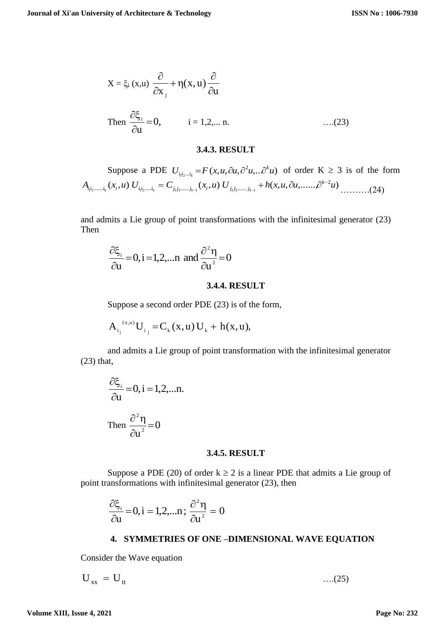$$
X = \xi_i(x, u) \frac{\partial}{\partial x_i} + \eta(x, u) \frac{\partial}{\partial u}
$$
  
Then  $\frac{\partial \xi_i}{\partial u} = 0$ ,  $i = 1, 2, ...$  n. ...(23)

#### **3.4.3. RESULT**

Suppose a PDE  $U_{i,j...i} = F(x, u, \partial u, \partial^2 u, ... \partial^k u)$  $U_{i_1 i_2 \dots i_k} = F(x, u, \partial u, \partial^2 u, \partial^2 u)$  $\sum_{i_1,i_2...i_k} = F(x,u,\partial u,\partial^2 u,...\partial^k u)$  of order  $K \geq 3$  is of the form  $(x_i, u) U_{i,j_1,...,i_k} = C_{i,j_1,...,i_k} (x_i, u) U_{i,j_1,...,i_k} + h(x, u, \partial u, \ldots, \partial^{k-2} u)$  $A_{i_1 i_2 \dots i_k}(x_i, u) U_{i_1 i_2 \dots i_k} = C_{j_1 j_2 \dots j_{k-1}}(x_i, u) U_{j_1 j_2 \dots j_{k-1}} + h(x, u, \partial u, \dots, \partial^{k-2} u)$  $a_{i_1 i_2 \dots i_k}$  ( $\lambda_i$ ,  $u$ ) U  $i_{i_1 i_2 \dots i_k}$  = U  $i_{j_1 j_2 \dots j_{k-1}}$  ( $\lambda_i$ ,  $u$ ) U  $i_{j_1 j_2 \dots j_k}$ ……….(24)

and admits a Lie group of point transformations with the infinitesimal generator (23) Then

$$
\frac{\partial \xi_i}{\partial u} = 0, i = 1, 2, \dots n \text{ and } \frac{\partial^2 \eta}{\partial u^2} = 0
$$

#### **3.4.4. RESULT**

Suppose a second order PDE (23) is of the form,

$$
A_{i_j}^{(x,u)}U_{i_j} = C_k(x,u)U_k + h(x,u),
$$

and admits a Lie group of point transformation with the infinitesimal generator (23) that,

$$
\frac{\partial \xi_i}{\partial u} = 0, i = 1, 2, \dots n.
$$
  
Then 
$$
\frac{\partial^2 \eta}{\partial u^2} = 0
$$

#### **3.4.5. RESULT**

Suppose a PDE (20) of order  $k \ge 2$  is a linear PDE that admits a Lie group of point transformations with infinitesimal generator (23), then

$$
\frac{\partial \xi_i}{\partial u} = 0, i = 1, 2, \dots n; \frac{\partial^2 \eta}{\partial u^2} = 0
$$

#### **4. SYMMETRIES OF ONE –DIMENSIONAL WAVE EQUATION**

Consider the Wave equation

$$
U_{xx} = U_{tt} \tag{25}
$$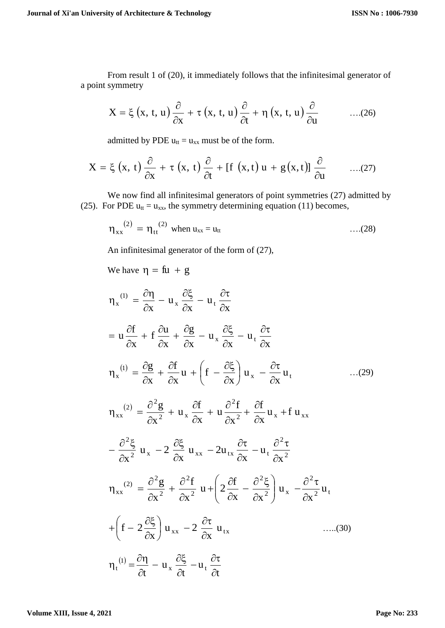From result 1 of (20), it immediately follows that the infinitesimal generator of a point symmetry

$$
X = \xi(x, t, u) \frac{\partial}{\partial x} + \tau(x, t, u) \frac{\partial}{\partial t} + \eta(x, t, u) \frac{\partial}{\partial u}
$$
 ....(26)

admitted by PDE  $u_{tt} = u_{xx}$  must be of the form.

$$
X = \xi(x, t) \frac{\partial}{\partial x} + \tau(x, t) \frac{\partial}{\partial t} + [f(x, t) u + g(x, t)] \frac{\partial}{\partial u} \qquad \dots (27)
$$

We now find all infinitesimal generators of point symmetries (27) admitted by (25). For PDE  $u_{tt} = u_{xx}$ , the symmetry determining equation (11) becomes,

$$
\eta_{xx}^{(2)} = \eta_{tt}^{(2)} \text{ when } u_{xx} = u_{tt} \qquad \qquad \dots (28)
$$

An infinitesimal generator of the form of (27),

We have  $\eta = f\mathfrak{u} + g$ 

$$
\eta_{x}^{(1)} = \frac{\partial \eta}{\partial x} - u_{x} \frac{\partial \xi}{\partial x} - u_{t} \frac{\partial \tau}{\partial x}
$$
  
\n
$$
= u \frac{\partial f}{\partial x} + f \frac{\partial u}{\partial x} + \frac{\partial g}{\partial x} - u_{x} \frac{\partial \xi}{\partial x} - u_{t} \frac{\partial \tau}{\partial x}
$$
  
\n
$$
\eta_{x}^{(1)} = \frac{\partial g}{\partial x} + \frac{\partial f}{\partial x} u + \left( f - \frac{\partial \xi}{\partial x} \right) u_{x} - \frac{\partial \tau}{\partial x} u_{t}
$$
  
\n
$$
\eta_{xx}^{(2)} = \frac{\partial^{2} g}{\partial x^{2}} + u_{x} \frac{\partial f}{\partial x} + u \frac{\partial^{2} f}{\partial x^{2}} + \frac{\partial f}{\partial x} u_{x} + f u_{xx}
$$
  
\n
$$
- \frac{\partial^{2} \xi}{\partial x^{2}} u_{x} - 2 \frac{\partial \xi}{\partial x} u_{xx} - 2u_{tx} \frac{\partial \tau}{\partial x} - u_{t} \frac{\partial^{2} \tau}{\partial x^{2}}
$$
  
\n
$$
\eta_{xx}^{(2)} = \frac{\partial^{2} g}{\partial x^{2}} + \frac{\partial^{2} f}{\partial x^{2}} u + \left( 2 \frac{\partial f}{\partial x} - \frac{\partial^{2} \xi}{\partial x^{2}} \right) u_{x} - \frac{\partial^{2} \tau}{\partial x^{2}} u_{t}
$$
  
\n
$$
+ \left( f - 2 \frac{\partial \xi}{\partial x} \right) u_{xx} - 2 \frac{\partial \tau}{\partial x} u_{tx}
$$
  
\n
$$
\eta_{t}^{(1)} = \frac{\partial \eta}{\partial t} - u_{x} \frac{\partial \xi}{\partial t} - u_{t} \frac{\partial \tau}{\partial t}
$$
  
\n(30)

**Volume XIII, Issue 4, 2021**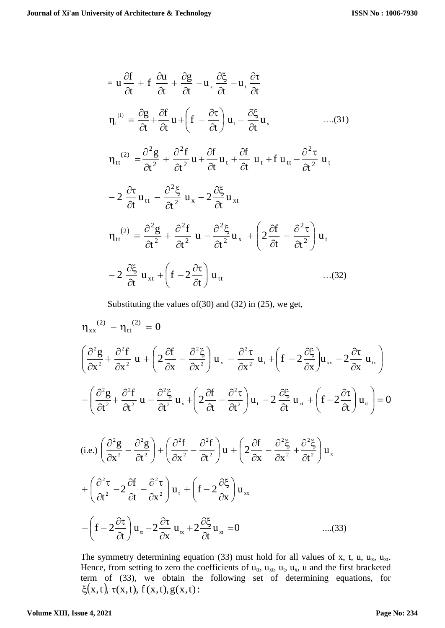$$
= u \frac{\partial f}{\partial t} + f \frac{\partial u}{\partial t} + \frac{\partial g}{\partial t} - u_x \frac{\partial \xi}{\partial t} - u_t \frac{\partial \tau}{\partial t}
$$
\n
$$
\eta_t^{(i)} = \frac{\partial g}{\partial t} + \frac{\partial f}{\partial t} u + \left( f - \frac{\partial \tau}{\partial t} \right) u_t - \frac{\partial \xi}{\partial t} u_x \qquad \qquad \dots (31)
$$
\n
$$
\eta_{tt}^{(2)} = \frac{\partial^2 g}{\partial t^2} + \frac{\partial^2 f}{\partial t^2} u + \frac{\partial f}{\partial t} u_t + \frac{\partial f}{\partial t} u_t + f u_{tt} - \frac{\partial^2 \tau}{\partial t^2} u_t
$$
\n
$$
- 2 \frac{\partial \tau}{\partial t} u_{tt} - \frac{\partial^2 \xi}{\partial t^2} u_x - 2 \frac{\partial \xi}{\partial t} u_{xt}
$$
\n
$$
\eta_{tt}^{(2)} = \frac{\partial^2 g}{\partial t^2} + \frac{\partial^2 f}{\partial t^2} u - \frac{\partial^2 \xi}{\partial t^2} u_x + \left( 2 \frac{\partial f}{\partial t} - \frac{\partial^2 \tau}{\partial t^2} \right) u_t
$$
\n
$$
- 2 \frac{\partial \xi}{\partial t} u_{xt} + \left( f - 2 \frac{\partial \tau}{\partial t} \right) u_{tt} \qquad \dots (32)
$$

Substituting the values of(30) and (32) in (25), we get,

$$
\eta_{xx}^{(2)} - \eta_{tt}^{(2)} = 0
$$
\n
$$
\left(\frac{\partial^2 g}{\partial x^2} + \frac{\partial^2 f}{\partial x^2} u + \left(2\frac{\partial f}{\partial x} - \frac{\partial^2 \xi}{\partial x^2}\right) u_x - \frac{\partial^2 \tau}{\partial x^2} u_t + \left(f - 2\frac{\partial \xi}{\partial x}\right) u_{xx} - 2\frac{\partial \tau}{\partial x} u_x\right)
$$
\n
$$
-\left(\frac{\partial^2 g}{\partial t^2} + \frac{\partial^2 f}{\partial t^2} u - \frac{\partial^2 \xi}{\partial t^2} u_x + \left(2\frac{\partial f}{\partial t} - \frac{\partial^2 \tau}{\partial t^2}\right) u_t - 2\frac{\partial \xi}{\partial t} u_{xt} + \left(f - 2\frac{\partial \tau}{\partial t}\right) u_t\right) = 0
$$
\n(i.e.)\n
$$
\left(\frac{\partial^2 g}{\partial x^2} - \frac{\partial^2 g}{\partial t^2}\right) + \left(\frac{\partial^2 f}{\partial x^2} - \frac{\partial^2 f}{\partial t^2}\right) u + \left(2\frac{\partial f}{\partial x} - \frac{\partial^2 \xi}{\partial x^2} + \frac{\partial^2 \xi}{\partial t^2}\right) u_x + \left(\frac{\partial^2 \tau}{\partial t^2} - 2\frac{\partial f}{\partial t} - \frac{\partial^2 \tau}{\partial x^2}\right) u_t + \left(f - 2\frac{\partial \xi}{\partial x}\right) u_{xx}
$$
\n
$$
-\left(f - 2\frac{\partial \tau}{\partial t}\right) u_u - 2\frac{\partial \tau}{\partial t} u_x + 2\frac{\partial \xi}{\partial t} u_{xt} = 0 \qquad \qquad \dots (33)
$$

The symmetry determining equation (33) must hold for all values of x, t, u,  $u_x$ ,  $u_{xt}$ . Hence, from setting to zero the coefficients of  $u_{tt}$ ,  $u_{xt}$ ,  $u_t$ ,  $u_x$ ,  $u_x$ , and the first bracketed term of (33), we obtain the following set of determining equations, for  $\xi(x,t), \tau(x,t), f(x,t), g(x,t)$ :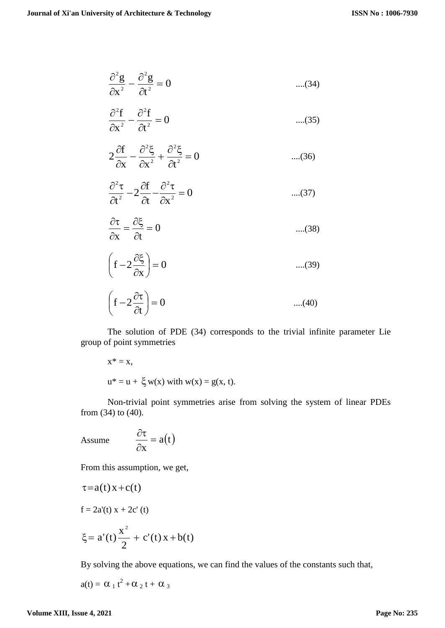$$
\frac{\partial^2 g}{\partial x^2} - \frac{\partial^2 g}{\partial t^2} = 0 \qquad \qquad \dots (34)
$$

$$
\frac{\partial^2 f}{\partial x^2} - \frac{\partial^2 f}{\partial t^2} = 0 \qquad \qquad \dots (35)
$$

$$
2\frac{\partial f}{\partial x} - \frac{\partial^2 \xi}{\partial x^2} + \frac{\partial^2 \xi}{\partial t^2} = 0
$$
 ....(36)

$$
\frac{\partial^2 \tau}{\partial t^2} - 2\frac{\partial f}{\partial t} - \frac{\partial^2 \tau}{\partial x^2} = 0
$$
 ....(37)

$$
\frac{\partial \tau}{\partial x} = \frac{\partial \xi}{\partial t} = 0 \qquad \qquad \dots (38)
$$

$$
\left(f - 2\frac{\partial \xi}{\partial x}\right) = 0 \qquad \qquad \dots (39)
$$

$$
\left(f - 2\frac{\partial \tau}{\partial t}\right) = 0 \qquad \qquad \dots (40)
$$

The solution of PDE (34) corresponds to the trivial infinite parameter Lie group of point symmetries

$$
x^* = x,
$$
  

$$
u^* = u + \xi w(x) \text{ with } w(x) = g(x, t).
$$

Non-trivial point symmetries arise from solving the system of linear PDEs from (34) to (40).

Assume 
$$
\frac{\partial \tau}{\partial x} = a(t)
$$

From this assumption, we get,

$$
\tau = a(t) x + c(t)
$$
  
f = 2a'(t) x + 2c'(t)  

$$
\xi = a'(t) \frac{x^2}{2} + c'(t) x + b(t)
$$

By solving the above equations, we can find the values of the constants such that,

$$
a(t) = \alpha_1 t^2 + \alpha_2 t + \alpha_3
$$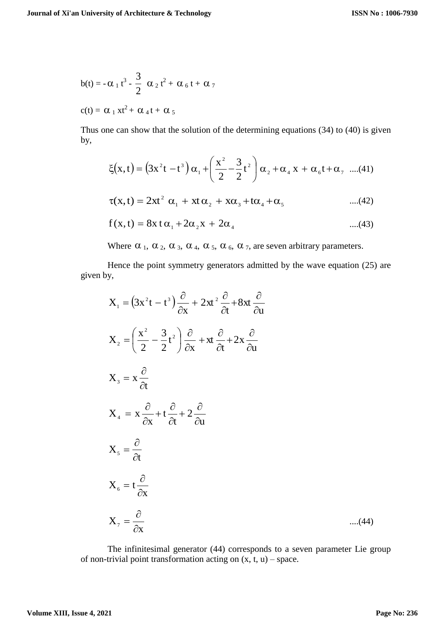$$
b(t) = -\alpha_1 t^3 - \frac{3}{2} \alpha_2 t^2 + \alpha_6 t + \alpha_7
$$
  

$$
c(t) = \alpha_1 x t^2 + \alpha_4 t + \alpha_5
$$

Thus one can show that the solution of the determining equations (34) to (40) is given by,

$$
\xi(x,t) = (3x^2t - t^3) \alpha_1 + \left(\frac{x^2}{2} - \frac{3}{2}t^2\right) \alpha_2 + \alpha_4 x + \alpha_6 t + \alpha_7 \dots (41)
$$
  

$$
\tau(x,t) = 2xt^2 \alpha_1 + xt \alpha_2 + x\alpha_3 + t\alpha_4 + \alpha_5 \dots (42)
$$

$$
f(x,t) = 8x \, t \, \alpha_1 + 2\alpha_2 x + 2\alpha_4 \qquad \qquad \dots (43)
$$

Where  $\alpha_1$ ,  $\alpha_2$ ,  $\alpha_3$ ,  $\alpha_4$ ,  $\alpha_5$ ,  $\alpha_6$ ,  $\alpha_7$ , are seven arbitrary parameters.

Hence the point symmetry generators admitted by the wave equation (25) are given by,

$$
X_{1} = (3x^{2}t - t^{3}) \frac{\partial}{\partial x} + 2xt^{2} \frac{\partial}{\partial t} + 8xt \frac{\partial}{\partial u}
$$
  
\n
$$
X_{2} = \left(\frac{x^{2}}{2} - \frac{3}{2}t^{2}\right) \frac{\partial}{\partial x} + xt \frac{\partial}{\partial t} + 2x \frac{\partial}{\partial u}
$$
  
\n
$$
X_{3} = x \frac{\partial}{\partial t}
$$
  
\n
$$
X_{4} = x \frac{\partial}{\partial x} + t \frac{\partial}{\partial t} + 2 \frac{\partial}{\partial u}
$$
  
\n
$$
X_{5} = \frac{\partial}{\partial t}
$$
  
\n
$$
X_{6} = t \frac{\partial}{\partial x}
$$
  
\n
$$
X_{7} = \frac{\partial}{\partial x}
$$
 ....(44)

The infinitesimal generator (44) corresponds to a seven parameter Lie group of non-trivial point transformation acting on  $(x, t, u)$  – space.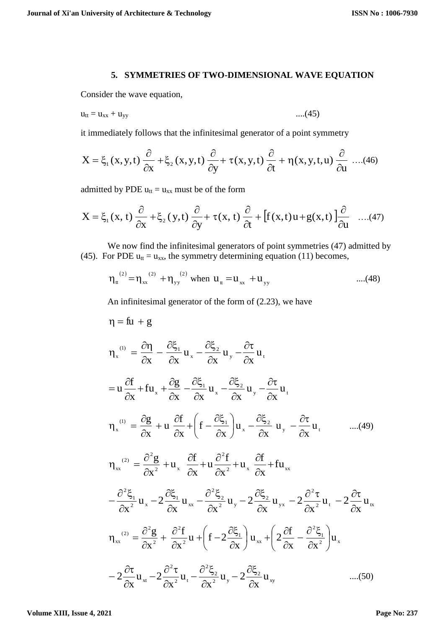#### **5. SYMMETRIES OF TWO-DIMENSIONAL WAVE EQUATION**

Consider the wave equation,

$$
u_{tt} = u_{xx} + u_{yy} \tag{45}
$$

it immediately follows that the infinitesimal generator of a point symmetry

$$
X = \xi_1(x, y, t) \frac{\partial}{\partial x} + \xi_2(x, y, t) \frac{\partial}{\partial y} + \tau(x, y, t) \frac{\partial}{\partial t} + \eta(x, y, t, u) \frac{\partial}{\partial u} \dots (46)
$$

admitted by PDE  $u_{tt} = u_{xx}$  must be of the form

$$
X = \xi_1(x, t) \frac{\partial}{\partial x} + \xi_2(y, t) \frac{\partial}{\partial y} + \tau(x, t) \frac{\partial}{\partial t} + \left[ f(x, t) u + g(x, t) \right] \frac{\partial}{\partial u} \quad ....(47)
$$

We now find the infinitesimal generators of point symmetries (47) admitted by (45). For PDE  $u_{tt} = u_{xx}$ , the symmetry determining equation (11) becomes,

$$
\eta_{\rm t}^{(2)} = \eta_{\rm xx}^{(2)} + \eta_{\rm yy}^{(2)}
$$
 when  $u_{\rm t} = u_{\rm xx} + u_{\rm yy}$  ....(48)

An infinitesimal generator of the form of (2.23), we have

$$
\eta = f\mathbf{u} + g
$$
\n
$$
\eta_x^{(0)} = \frac{\partial \eta}{\partial x} - \frac{\partial \xi_1}{\partial x} \mathbf{u}_x - \frac{\partial \xi_2}{\partial x} \mathbf{u}_y - \frac{\partial \tau}{\partial x} \mathbf{u}_t
$$
\n
$$
= \mathbf{u} \frac{\partial f}{\partial x} + f\mathbf{u}_x + \frac{\partial g}{\partial x} - \frac{\partial \xi_1}{\partial x} \mathbf{u}_x - \frac{\partial \xi_2}{\partial x} \mathbf{u}_y - \frac{\partial \tau}{\partial x} \mathbf{u}_t
$$
\n
$$
\eta_x^{(0)} = \frac{\partial g}{\partial x} + \mathbf{u} \frac{\partial f}{\partial x} + \left( f - \frac{\partial \xi_1}{\partial x} \right) \mathbf{u}_x - \frac{\partial \xi_2}{\partial x} \mathbf{u}_y - \frac{\partial \tau}{\partial x} \mathbf{u}_t
$$
\n
$$
\eta_{xx}^{(2)} = \frac{\partial^2 g}{\partial x^2} + \mathbf{u}_x \frac{\partial f}{\partial x} + \mathbf{u} \frac{\partial^2 f}{\partial x^2} + \mathbf{u}_x \frac{\partial f}{\partial x} + f\mathbf{u}_{xx}
$$
\n
$$
- \frac{\partial^2 \xi_1}{\partial x^2} \mathbf{u}_x - 2 \frac{\partial \xi_1}{\partial x} \mathbf{u}_x - \frac{\partial^2 \xi_2}{\partial x^2} \mathbf{u}_y - 2 \frac{\partial \xi_2}{\partial x} \mathbf{u}_{yx} - 2 \frac{\partial^2 \tau}{\partial x^2} \mathbf{u}_t - 2 \frac{\partial \tau}{\partial x} \mathbf{u}_x
$$
\n
$$
\eta_{xx}^{(2)} = \frac{\partial^2 g}{\partial x^2} + \frac{\partial^2 f}{\partial x^2} \mathbf{u} + \left( f - 2 \frac{\partial \xi_1}{\partial x} \right) \mathbf{u}_{xx} + \left( 2 \frac{\partial f}{\partial x} - \frac{\partial^2 \xi_1}{\partial x^2} \right) \mathbf{u}_x
$$
\n
$$
- 2 \frac{\partial \tau}{\partial x} \mathbf{u}_{xx} - 2 \frac{\partial^2 \tau}{\partial x^2} \mathbf{u}_
$$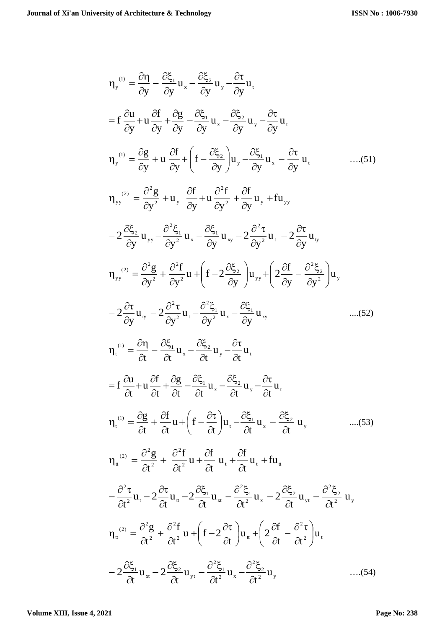$$
\eta_{y}^{(i)} = \frac{\partial \eta}{\partial y} - \frac{\partial \xi_{1}}{\partial y} u_{x} - \frac{\partial \xi_{2}}{\partial y} u_{y} - \frac{\partial \tau}{\partial y} u_{t}
$$
\n
$$
= f \frac{\partial u}{\partial y} + u \frac{\partial f}{\partial y} + \frac{\partial g}{\partial y} - \frac{\partial \xi_{1}}{\partial y} u_{x} - \frac{\partial \xi_{2}}{\partial y} u_{y} - \frac{\partial \tau}{\partial y} u_{t}
$$
\n
$$
\eta_{y}^{(i)} = \frac{\partial g}{\partial y} + u \frac{\partial f}{\partial y} + \left( f - \frac{\partial \xi_{2}}{\partial y} \right) u_{y} - \frac{\partial \xi_{1}}{\partial y} u_{x} - \frac{\partial \tau}{\partial y} u_{t}
$$
\n
$$
\eta_{yy}^{(2)} = \frac{\partial^{2} g}{\partial y^{2}} + u_{y} \frac{\partial f}{\partial y} + u \frac{\partial^{2} f}{\partial y^{2}} + \frac{\partial f}{\partial y} u_{y} + f u_{yy}
$$
\n
$$
- 2 \frac{\partial \xi_{2}}{\partial y} u_{yy} - \frac{\partial^{2} \xi_{1}}{\partial y^{2}} u_{x} - \frac{\partial \xi_{1}}{\partial y} u_{xy} - 2 \frac{\partial^{2} \tau}{\partial y} u_{t} - 2 \frac{\partial \tau}{\partial y} u_{y}
$$
\n
$$
\eta_{yy}^{(2)} = \frac{\partial^{2} g}{\partial y^{2}} + \frac{\partial^{2} f}{\partial y^{2}} u + \left( f - 2 \frac{\partial \xi_{2}}{\partial y} u_{y} + \left( 2 \frac{\partial f}{\partial y} - \frac{\partial^{2} \xi_{2}}{\partial y^{2}} \right) u_{y}
$$
\n
$$
- 2 \frac{\partial \tau}{\partial y} u_{y} - 2 \frac{\partial^{2} \tau}{\partial y^{2}} u_{t} - \frac{\partial^{2} \xi_{1}}{\partial y} u_{x} - \frac{\partial \xi_{1}}{\partial y} u_{xy}
$$
\n
$$
\eta_{1}^{(i)} = \frac{\partial \eta}{\partial t} - \frac{\partial \xi_{1}}{\partial t} u_{x} - \frac{\partial \xi_{2}}{\partial t} u_{y} - \frac{\partial \tau}{\partial t} u_{t}
$$
\n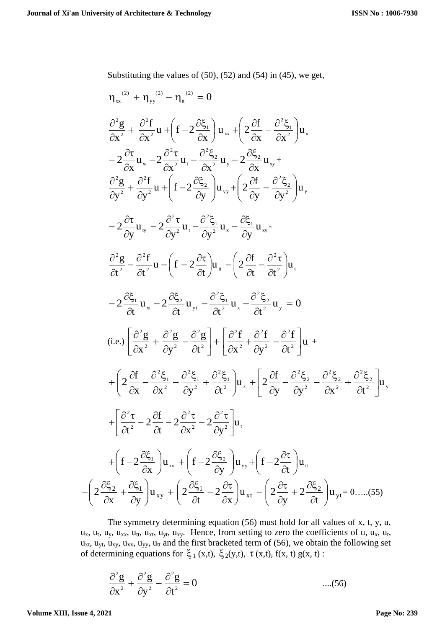Substituting the values of  $(50)$ ,  $(52)$  and  $(54)$  in  $(45)$ , we get,

$$
\eta_{xx}^{(2)} + \eta_{yy}^{(2)} - \eta_{tt}^{(2)} = 0
$$
\n
$$
\frac{\partial^2 g}{\partial x^2} + \frac{\partial^2 f}{\partial x^2} u + \left( f - 2 \frac{\partial \xi_1}{\partial x} \right) u_{xx} + \left( 2 \frac{\partial f}{\partial x} - \frac{\partial^2 \xi_1}{\partial x^2} \right) u_{x}
$$
\n
$$
- 2 \frac{\partial \tau}{\partial x} u_{xx} - 2 \frac{\partial^2 \tau}{\partial x^2} u_{t} - \frac{\partial^2 \xi_2}{\partial x^2} u_{y} - 2 \frac{\partial \xi_2}{\partial x} u_{xy} + \frac{\partial^2 g}{\partial y^2} + \frac{\partial^2 f}{\partial y^2} u_{y} + \left( f - 2 \frac{\partial \xi_2}{\partial y} \right) u_{yy} + \left( 2 \frac{\partial f}{\partial y} - \frac{\partial^2 \xi_2}{\partial y^2} \right) u_{y}
$$
\n
$$
- 2 \frac{\partial \tau}{\partial y} u_{y} - 2 \frac{\partial^2 \tau}{\partial y^2} u_{t} - \frac{\partial^2 \xi_1}{\partial y^2} u_{x} - \frac{\partial \xi_1}{\partial y} u_{xy} - \frac{\partial^2 \xi_2}{\partial y^2} u_{xy} - \frac{\partial^2 g}{\partial y^2} u_{xy} - \frac{\partial^2 g}{\partial y^2} u_{xy} - \frac{\partial^2 g}{\partial y^2} u_{xy} - \frac{\partial^2 g}{\partial y^2} u_{xy} - \frac{\partial^2 g}{\partial y^2} u_{xy} - \frac{\partial^2 g}{\partial y^2} u_{xy} - \frac{\partial^2 g}{\partial y^2} u_{xy} - \frac{\partial^2 g}{\partial y^2} u_{xy} - \frac{\partial^2 g}{\partial y^2} u_{xy} - \frac{\partial^2 g}{\partial y^2} u_{xy} - \frac{\partial^2 g}{\partial y^2} u_{xy} - \frac{\partial^2 g}{\partial y^2} u_{xy} - \frac{\partial^2 g}{\partial y^2} u_{xy} - \frac{\partial^2 g}{\partial y^2} - \frac{\partial^2 g}{\partial y^2} u_{xy} + \left( 2 \frac{\partial f}{\partial x} - \frac{\partial^2 g}{\partial y^2} - \frac
$$

The symmetry determining equation (56) must hold for all values of x, t, y, u,  $u_x$ ,  $u_t$ ,  $u_y$ ,  $u_{xx}$ ,  $u_{tt}$ ,  $u_{xt}$ ,  $u_{yt}$ ,  $u_{xy}$ . Hence, from setting to zero the coefficients of u,  $u_x$ ,  $u_t$ ,  $u_{xt}$ ,  $u_{yt}$ ,  $u_{xy}$ ,  $u_{xx}$ ,  $u_{yy}$ ,  $u_{tt}$  and the first bracketed term of (56), we obtain the following set of determining equations for  $\xi_1(x,t)$ ,  $\xi_2(y,t)$ ,  $\tau(x,t)$ ,  $f(x,t)$ ,  $g(x,t)$ :

$$
\frac{\partial^2 g}{\partial x^2} + \frac{\partial^2 g}{\partial y^2} - \frac{\partial^2 g}{\partial t^2} = 0
$$
 ....(56)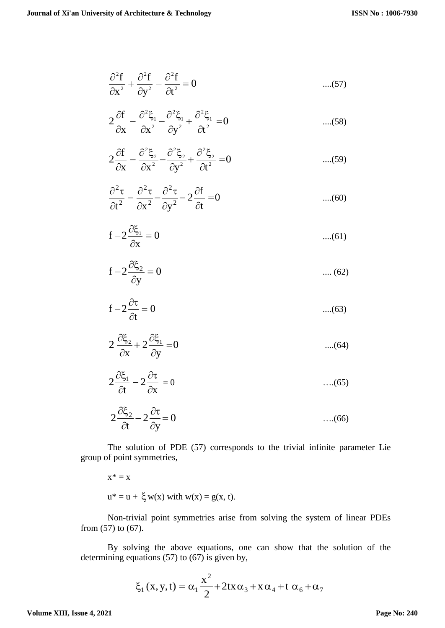$$
\frac{\partial^2 f}{\partial x^2} + \frac{\partial^2 f}{\partial y^2} - \frac{\partial^2 f}{\partial t^2} = 0
$$
 ....(57)

$$
2\frac{\partial f}{\partial x} - \frac{\partial^2 \xi_1}{\partial x^2} - \frac{\partial^2 \xi_1}{\partial y^2} + \frac{\partial^2 \xi_1}{\partial t^2} = 0 \qquad \qquad \dots (58)
$$

$$
2\frac{\partial f}{\partial x} - \frac{\partial^2 \xi_2}{\partial x^2} - \frac{\partial^2 \xi_2}{\partial y^2} + \frac{\partial^2 \xi_2}{\partial t^2} = 0 \qquad \qquad \dots (59)
$$

$$
\frac{\partial^2 \tau}{\partial t^2} - \frac{\partial^2 \tau}{\partial x^2} - \frac{\partial^2 \tau}{\partial y^2} - 2\frac{\partial f}{\partial t} = 0
$$
 ....(60)

$$
f - 2\frac{\partial \xi_1}{\partial x} = 0 \qquad \qquad \dots (61)
$$

$$
f - 2\frac{\partial \xi_2}{\partial y} = 0 \qquad \qquad \dots (62)
$$

$$
f - 2\frac{\partial \tau}{\partial t} = 0 \qquad \qquad \dots (63)
$$

$$
2\frac{\partial \xi_2}{\partial x} + 2\frac{\partial \xi_1}{\partial y} = 0 \qquad \qquad \dots (64)
$$

$$
2\frac{\partial \xi_1}{\partial t} - 2\frac{\partial \tau}{\partial x} = 0 \qquad \qquad \dots (65)
$$

$$
2\frac{\partial \xi_2}{\partial t} - 2\frac{\partial \tau}{\partial y} = 0 \qquad \qquad \dots (66)
$$

The solution of PDE (57) corresponds to the trivial infinite parameter Lie group of point symmetries,

 $x^* = x$ 

$$
u^* = u + \xi w(x)
$$
 with  $w(x) = g(x, t)$ .

Non-trivial point symmetries arise from solving the system of linear PDEs from (57) to (67).

By solving the above equations, one can show that the solution of the determining equations (57) to (67) is given by,

$$
\xi_1(x, y, t) = \alpha_1 \frac{x^2}{2} + 2tx \alpha_3 + x \alpha_4 + t \alpha_6 + \alpha_7
$$

**Volume XIII, Issue 4, 2021**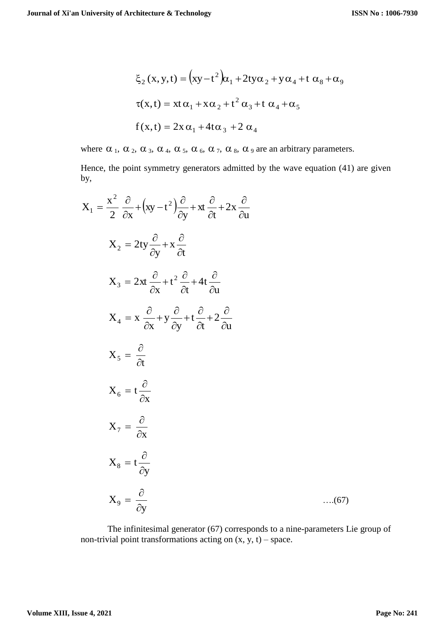$$
\xi_2(x, y, t) = (xy - t^2)\alpha_1 + 2ty\alpha_2 + y\alpha_4 + t\alpha_8 + \alpha_9
$$
  
\n
$$
\tau(x, t) = xt\alpha_1 + x\alpha_2 + t^2\alpha_3 + t\alpha_4 + \alpha_5
$$
  
\n
$$
f(x, t) = 2x\alpha_1 + 4t\alpha_3 + 2\alpha_4
$$

where  $\alpha_1$ ,  $\alpha_2$ ,  $\alpha_3$ ,  $\alpha_4$ ,  $\alpha_5$ ,  $\alpha_6$ ,  $\alpha_7$ ,  $\alpha_8$ ,  $\alpha_9$  are an arbitrary parameters.

Hence, the point symmetry generators admitted by the wave equation (41) are given by,

$$
X_{1} = \frac{x^{2}}{2} \frac{\partial}{\partial x} + (xy - t^{2}) \frac{\partial}{\partial y} + x t \frac{\partial}{\partial t} + 2x \frac{\partial}{\partial u}
$$
  
\n
$$
X_{2} = 2ty \frac{\partial}{\partial y} + x \frac{\partial}{\partial t}
$$
  
\n
$$
X_{3} = 2xt \frac{\partial}{\partial x} + t^{2} \frac{\partial}{\partial t} + 4t \frac{\partial}{\partial u}
$$
  
\n
$$
X_{4} = x \frac{\partial}{\partial x} + y \frac{\partial}{\partial y} + t \frac{\partial}{\partial t} + 2 \frac{\partial}{\partial u}
$$
  
\n
$$
X_{5} = \frac{\partial}{\partial t}
$$
  
\n
$$
X_{6} = t \frac{\partial}{\partial x}
$$
  
\n
$$
X_{7} = \frac{\partial}{\partial x}
$$
  
\n
$$
X_{8} = t \frac{\partial}{\partial y}
$$
  
\n
$$
X_{9} = \frac{\partial}{\partial y}
$$
 ....(67)

The infinitesimal generator (67) corresponds to a nine-parameters Lie group of non-trivial point transformations acting on  $(x, y, t)$  – space.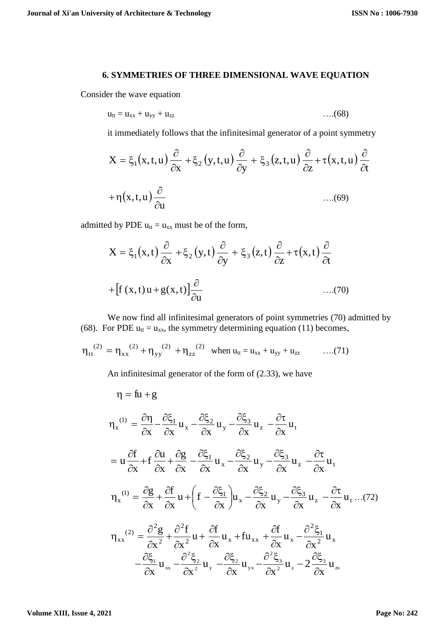#### **6. SYMMETRIES OF THREE DIMENSIONAL WAVE EQUATION**

Consider the wave equation

$$
u_{tt} = u_{xx} + u_{yy} + u_{zz}
$$
 (68)

it immediately follows that the infinitesimal generator of a point symmetry

$$
X = \xi_1(x, t, u) \frac{\partial}{\partial x} + \xi_2(y, t, u) \frac{\partial}{\partial y} + \xi_3(z, t, u) \frac{\partial}{\partial z} + \tau(x, t, u) \frac{\partial}{\partial t}
$$
  
+  $\eta(x, t, u) \frac{\partial}{\partial u}$ ...(69)

admitted by PDE  $u_{tt} = u_{xx}$  must be of the form,

$$
X = \xi_1(x, t) \frac{\partial}{\partial x} + \xi_2(y, t) \frac{\partial}{\partial y} + \xi_3(z, t) \frac{\partial}{\partial z} + \tau(x, t) \frac{\partial}{\partial t}
$$
  
+ 
$$
[f(x, t)u + g(x, t)] \frac{\partial}{\partial u}
$$
...(70)

We now find all infinitesimal generators of point symmetries (70) admitted by (68). For PDE  $u_{tt} = u_{xx}$ , the symmetry determining equation (11) becomes,

$$
\eta_{tt}^{(2)} = \eta_{xx}^{(2)} + \eta_{yy}^{(2)} + \eta_{zz}^{(2)}
$$
 when  $u_{tt} = u_{xx} + u_{yy} + u_{zz}$  ....(71)

An infinitesimal generator of the form of (2.33), we have

$$
\eta = fu + g
$$
\n
$$
\eta_x^{(1)} = \frac{\partial \eta}{\partial x} - \frac{\partial \xi_1}{\partial x} u_x - \frac{\partial \xi_2}{\partial x} u_y - \frac{\partial \xi_3}{\partial x} u_z - \frac{\partial \tau}{\partial x} u_t
$$
\n
$$
= u \frac{\partial f}{\partial x} + f \frac{\partial u}{\partial x} + \frac{\partial g}{\partial x} - \frac{\partial \xi_1}{\partial x} u_x - \frac{\partial \xi_2}{\partial x} u_y - \frac{\partial \xi_3}{\partial x} u_z - \frac{\partial \tau}{\partial x} u_t
$$
\n
$$
\eta_x^{(1)} = \frac{\partial g}{\partial x} + \frac{\partial f}{\partial x} u + \left( f - \frac{\partial \xi_1}{\partial x} \right) u_x - \frac{\partial \xi_2}{\partial x} u_y - \frac{\partial \xi_3}{\partial x} u_z - \frac{\partial \tau}{\partial x} u_t \dots (72)
$$
\n
$$
\eta_{xx}^{(2)} = \frac{\partial^2 g}{\partial x^2} + \frac{\partial^2 f}{\partial x^2} u + \frac{\partial f}{\partial x} u_x + fu_{xx} + \frac{\partial f}{\partial x} u_x - \frac{\partial^2 \xi_1}{\partial x^2} u_x
$$
\n
$$
- \frac{\partial \xi_1}{\partial x} u_{xx} - \frac{\partial^2 \xi_2}{\partial x^2} u_y - \frac{\partial \xi_2}{\partial x} u_{yx} - \frac{\partial^2 \xi_3}{\partial x^2} u_z - 2 \frac{\partial \xi_3}{\partial x} u_x
$$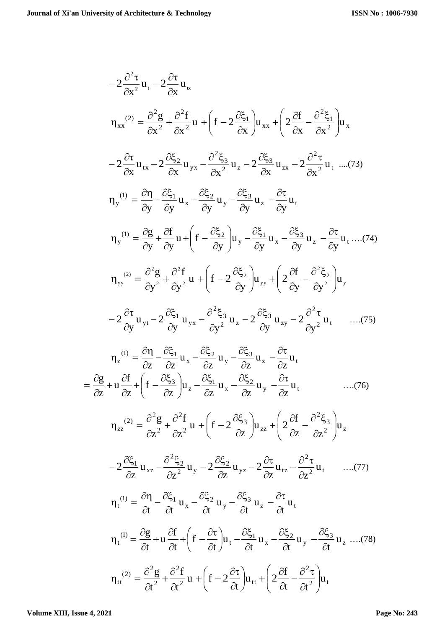$$
-2 \frac{\partial^2 \tau}{\partial x^2} u_1 - 2 \frac{\partial \tau}{\partial x} u_\alpha
$$
\n
$$
\eta_{xx}^{(2)} = \frac{\partial^2 g}{\partial x^2} + \frac{\partial^2 f}{\partial x^2} u + \left( f - 2 \frac{\partial \xi_1}{\partial x} \right) u_{xx} + \left( 2 \frac{\partial f}{\partial x} - \frac{\partial^2 \xi_1}{\partial x^2} \right) u_x
$$
\n
$$
-2 \frac{\partial \tau}{\partial x} u_{tx} - 2 \frac{\partial \xi_2}{\partial x} u_{yx} - \frac{\partial^2 \xi_3}{\partial x^2} u_z - 2 \frac{\partial \xi_3}{\partial x} u_{zx} - 2 \frac{\partial^2 \tau}{\partial x^2} u_t \dots (73)
$$
\n
$$
\eta_y^{(0)} = \frac{\partial \eta}{\partial y} - \frac{\partial \xi_1}{\partial y} u_x - \frac{\partial \xi_2}{\partial y} u_y - \frac{\partial \xi_3}{\partial y} u_z - \frac{\partial \tau}{\partial y} u_t
$$
\n
$$
\eta_y^{(0)} = \frac{\partial g}{\partial y} + \frac{\partial f}{\partial y} u + \left( f - \frac{\partial \xi_2}{\partial y} \right) u_y - \frac{\partial \xi_1}{\partial y} u_x - \frac{\partial \xi_3}{\partial y} u_z - \frac{\partial \tau}{\partial y} u_t \dots (74)
$$
\n
$$
\eta_{yy}^{(2)} = \frac{\partial^2 g}{\partial y^2} + \frac{\partial^2 f}{\partial y^2} u + \left( f - 2 \frac{\partial \xi_2}{\partial y} \right) u_{yy} + \left( 2 \frac{\partial f}{\partial y} - \frac{\partial^2 \xi_2}{\partial y^2} \right) u_y
$$
\n
$$
-2 \frac{\partial \tau}{\partial y} u_{yx} - 2 \frac{\partial \xi_1}{\partial y} u_{yx} - \frac{\partial^2 \xi_3}{\partial y} u_z - 2 \frac{\partial \xi_3}{\partial y} u_{xy} - 2 \frac{\partial^2 \tau}{\partial y^2} u_t \dots (75)
$$
\n
$$
\eta_z^{(0)} = \frac{\partial \eta}{\partial z} - \frac{\partial \xi_1}{\partial z} u_x - \frac{\partial \xi_2}{\partial z} u_y - \frac{\
$$

**Volume XIII, Issue 4, 2021**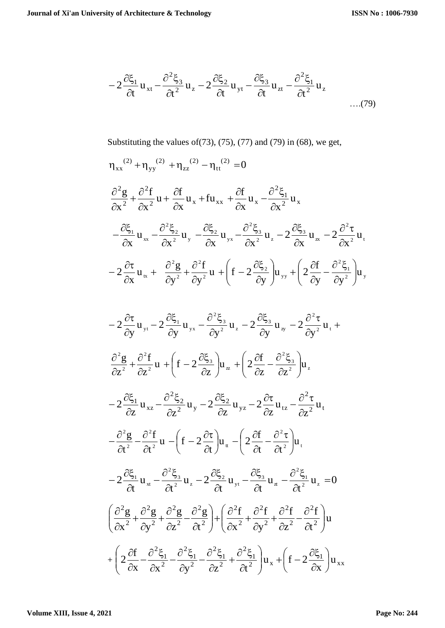$$
-2\frac{\partial \xi_1}{\partial t}u_{xt} - \frac{\partial^2 \xi_3}{\partial t^2}u_z - 2\frac{\partial \xi_2}{\partial t}u_{yt} - \frac{\partial \xi_3}{\partial t}u_{zt} - \frac{\partial^2 \xi_1}{\partial t^2}u_z
$$
...(79)

Substituting the values of  $(73)$ ,  $(75)$ ,  $(77)$  and  $(79)$  in  $(68)$ , we get,

$$
\eta_{xx}^{(2)} + \eta_{yy}^{(2)} + \eta_{zz}^{(2)} - \eta_{tt}^{(2)} = 0
$$
\n
$$
\frac{\partial^2 g}{\partial x^2} + \frac{\partial^2 f}{\partial x^2} u + \frac{\partial f}{\partial x} u_x + f u_{xx} + \frac{\partial f}{\partial x} u_x - \frac{\partial^2 \xi_1}{\partial x^2} u_x
$$
\n
$$
- \frac{\partial \xi_1}{\partial x} u_{xx} - \frac{\partial^2 \xi_2}{\partial x^2} u_y - \frac{\partial \xi_2}{\partial x} u_{yx} - \frac{\partial^2 \xi_3}{\partial x^2} u_z - 2 \frac{\partial \xi_3}{\partial x} u_x - 2 \frac{\partial^2 \tau}{\partial x^2} u_t
$$
\n
$$
- 2 \frac{\partial \tau}{\partial x} u_{xx} + \frac{\partial^2 g}{\partial y^2} + \frac{\partial^2 f}{\partial y^2} u + \left( f - 2 \frac{\partial \xi_2}{\partial y} \right) u_{yy} + \left( 2 \frac{\partial f}{\partial y} - \frac{\partial^2 \xi_1}{\partial y^2} \right) u_y
$$
\n
$$
- 2 \frac{\partial \tau}{\partial y} u_{yy} - 2 \frac{\partial \xi_1}{\partial y} u_{yx} - \frac{\partial^2 \xi_3}{\partial y^2} u_x - 2 \frac{\partial \xi_3}{\partial y} u_{xy} - 2 \frac{\partial^2 \tau}{\partial y^2} u_t +
$$
\n
$$
\frac{\partial^2 g}{\partial z^2} + \frac{\partial^2 f}{\partial z^2} u + \left( f - 2 \frac{\partial \xi_3}{\partial z} \right) u_{xx} + \left( 2 \frac{\partial f}{\partial z} - \frac{\partial^2 \xi_3}{\partial z^2} \right) u_x
$$
\n
$$
- 2 \frac{\partial \xi_1}{\partial z} u_{xz} - \frac{\partial^2 \xi_2}{\partial z^2} u_y - 2 \frac{\partial \xi_2}{\partial z} u_{yz} - 2 \frac{\partial \tau}{\partial z} u_{tz} - \frac{\partial^2 \tau}{\partial z^2} u_t
$$
\n
$$
- \frac{\partial^2 g}{\partial t^2} - \frac{\partial^2 f}{\partial t^2} u - \left( f - 2 \frac{\partial \tau}{
$$

2

 $\partial$ 

2

x  $\partial x^2$   $\partial y^2$   $\partial z^2$   $\partial t$ 

 $\partial$ 

2

 $\partial$ 

 $\setminus$ 

 $\partial$ 

x

 $\partial$ 

 $\setminus$ 

J

 $\partial$ 

J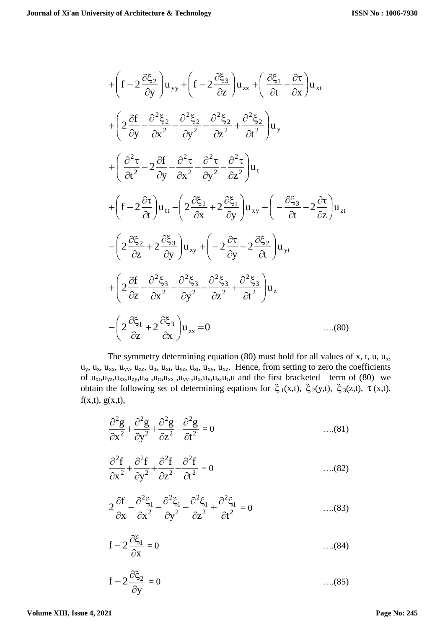$$
+\left(f-2\frac{\partial\xi_{2}}{\partial y}\right)u_{yy}+\left(f-2\frac{\partial\xi_{3}}{\partial z}\right)u_{zz}+\left(\frac{\partial\xi_{1}}{\partial t}-\frac{\partial\tau}{\partial x}\right)u_{xt} +\left(2\frac{\partial f}{\partial y}-\frac{\partial^{2}\xi_{2}}{\partial x^{2}}-\frac{\partial^{2}\xi_{2}}{\partial y^{2}}-\frac{\partial^{2}\xi_{2}}{\partial z^{2}}+\frac{\partial^{2}\xi_{2}}{\partial t^{2}}\right)u_{y} +\left(\frac{\partial^{2}\tau}{\partial t^{2}}-2\frac{\partial f}{\partial y}-\frac{\partial^{2}\tau}{\partial x^{2}}-\frac{\partial^{2}\tau}{\partial y^{2}}-\frac{\partial^{2}\tau}{\partial z^{2}}\right)u_{t} +\left(f-2\frac{\partial\tau}{\partial t}\right)u_{tt}-\left(2\frac{\partial\xi_{2}}{\partial x}+2\frac{\partial\xi_{1}}{\partial y}\right)u_{xy}+\left(-\frac{\partial\xi_{3}}{\partial t}-2\frac{\partial\tau}{\partial z}\right)u_{zt} -\left(2\frac{\partial\xi_{2}}{\partial z}+2\frac{\partial\xi_{3}}{\partial y}\right)u_{zy}+\left(-2\frac{\partial\tau}{\partial y}-2\frac{\partial\xi_{2}}{\partial t}\right)u_{yt} +\left(2\frac{\partial f}{\partial z}-\frac{\partial^{2}\xi_{3}}{\partial x^{2}}-\frac{\partial^{2}\xi_{3}}{\partial y^{2}}-\frac{\partial^{2}\xi_{3}}{\partial z^{2}}+\frac{\partial^{2}\xi_{3}}{\partial t^{2}}\right)u_{z} -\left(2\frac{\partial\xi_{1}}{\partial z}+2\frac{\partial\xi_{3}}{\partial x}\right)u_{zx}=0
$$
 ....(80)

The symmetry determining equation (80) must hold for all values of x, t, u,  $u_x$ ,  $u_y$ ,  $u_z$ ,  $u_{xx}$ ,  $u_{yy}$ ,  $u_{zz}$ ,  $u_{tt}$ ,  $u_{xt}$ ,  $u_{yz}$ ,  $u_{zt}$ ,  $u_{xy}$ ,  $u_{xz}$ . Hence, from setting to zero the coefficients of  $u_{xt}$ , $u_{yz}$ , $u_{xz}$ , $u_{zy}$ , $u_{xt}$ , $u_{tx}$ , $u_{yx}$ , $u_{xy}$ , $u_{xz}$ , $u_{yz}$ , $u_{tz}$ , $u_{tz}$ , $u_{tt}$  and the first bracketed term of (80) we obtain the following set of determining eqations for  $\xi_1(x,t)$ ,  $\xi_2(y,t)$ ,  $\xi_3(z,t)$ ,  $\tau(x,t)$ ,  $f(x,t)$ ,  $g(x,t)$ ,

$$
\frac{\partial^2 g}{\partial x^2} + \frac{\partial^2 g}{\partial y^2} + \frac{\partial^2 g}{\partial z^2} - \frac{\partial^2 g}{\partial t^2} = 0 \qquad \qquad \dots (81)
$$

$$
\frac{\partial^2 f}{\partial x^2} + \frac{\partial^2 f}{\partial y^2} + \frac{\partial^2 f}{\partial z^2} - \frac{\partial^2 f}{\partial t^2} = 0 \qquad \qquad \dots (82)
$$

$$
2\frac{\partial f}{\partial x} - \frac{\partial^2 \xi_1}{\partial x^2} - \frac{\partial^2 \xi_1}{\partial y^2} - \frac{\partial^2 \xi_1}{\partial z^2} + \frac{\partial^2 \xi_1}{\partial t^2} = 0 \qquad \qquad \dots (83)
$$

$$
f - 2\frac{\partial \xi_1}{\partial x} = 0 \tag{84}
$$

$$
f - 2\frac{\partial \xi_2}{\partial y} = 0 \tag{85}
$$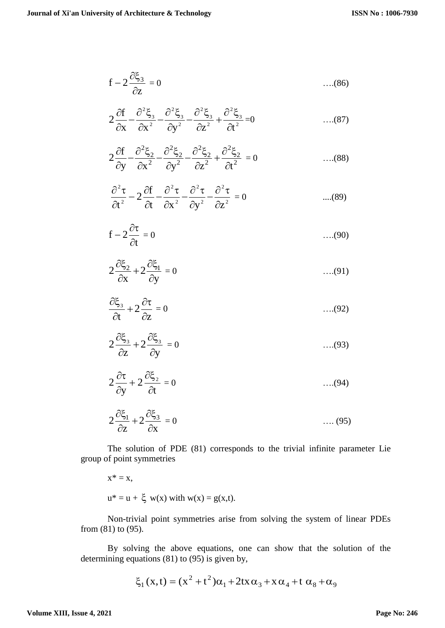$$
f - 2\frac{\partial \xi_3}{\partial z} = 0 \qquad \qquad \dots (86)
$$

$$
2\frac{\partial f}{\partial x} - \frac{\partial^2 \xi_3}{\partial x^2} - \frac{\partial^2 \xi_3}{\partial y^2} - \frac{\partial^2 \xi_3}{\partial z^2} + \frac{\partial^2 \xi_3}{\partial t^2} = 0 \qquad \qquad \dots (87)
$$

$$
2\frac{\partial f}{\partial y} - \frac{\partial^2 \xi_2}{\partial x^2} - \frac{\partial^2 \xi_2}{\partial y^2} - \frac{\partial^2 \xi_2}{\partial z^2} + \frac{\partial^2 \xi_2}{\partial t^2} = 0 \qquad \qquad \dots (88)
$$

$$
\frac{\partial^2 \tau}{\partial t^2} - 2 \frac{\partial f}{\partial t} - \frac{\partial^2 \tau}{\partial x^2} - \frac{\partial^2 \tau}{\partial y^2} - \frac{\partial^2 \tau}{\partial z^2} = 0 \qquad \qquad \dots (89)
$$

$$
f - 2\frac{\partial \tau}{\partial t} = 0 \tag{90}
$$

$$
2\frac{\partial \xi_2}{\partial x} + 2\frac{\partial \xi_1}{\partial y} = 0 \qquad \qquad \dots (91)
$$

$$
\frac{\partial \xi_3}{\partial t} + 2 \frac{\partial \tau}{\partial z} = 0 \tag{92}
$$

$$
2\frac{\partial \xi_3}{\partial z} + 2\frac{\partial \xi_3}{\partial y} = 0 \qquad \qquad \dots (93)
$$

$$
2\frac{\partial \tau}{\partial y} + 2\frac{\partial \xi_2}{\partial t} = 0 \qquad \qquad \dots (94)
$$

$$
2\frac{\partial \xi_1}{\partial z} + 2\frac{\partial \xi_3}{\partial x} = 0 \qquad \qquad \dots (95)
$$

The solution of PDE (81) corresponds to the trivial infinite parameter Lie group of point symmetries

$$
x^* = x,
$$
  
 
$$
u^* = u + \xi w(x) \text{ with } w(x) = g(x,t).
$$

Non-trivial point symmetries arise from solving the system of linear PDEs from (81) to (95).

By solving the above equations, one can show that the solution of the determining equations (81) to (95) is given by,

$$
\xi_1(x,t) = (x^2 + t^2)\alpha_1 + 2tx\alpha_3 + x\alpha_4 + t\alpha_8 + \alpha_9
$$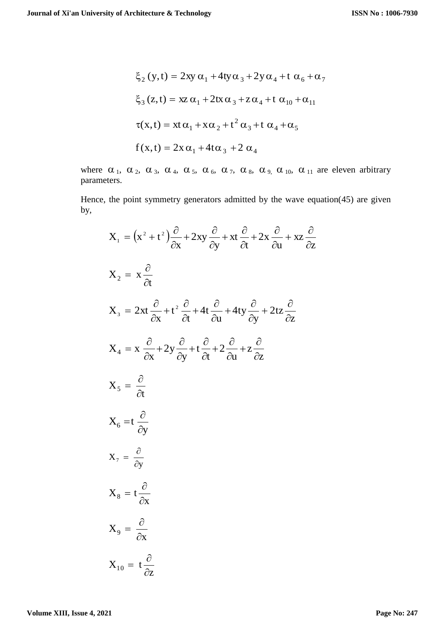$$
\xi_2(y,t) = 2xy \alpha_1 + 4ty \alpha_3 + 2y \alpha_4 + t \alpha_6 + \alpha_7
$$
  

$$
\xi_3(z,t) = xz \alpha_1 + 2tx \alpha_3 + z \alpha_4 + t \alpha_{10} + \alpha_{11}
$$
  

$$
\tau(x,t) = xt \alpha_1 + x \alpha_2 + t^2 \alpha_3 + t \alpha_4 + \alpha_5
$$
  

$$
f(x,t) = 2x \alpha_1 + 4t \alpha_3 + 2 \alpha_4
$$

where  $\alpha_1$ ,  $\alpha_2$ ,  $\alpha_3$ ,  $\alpha_4$ ,  $\alpha_5$ ,  $\alpha_6$ ,  $\alpha_7$ ,  $\alpha_8$ ,  $\alpha_9$ ,  $\alpha_{10}$ ,  $\alpha_{11}$  are eleven arbitrary parameters.

Hence, the point symmetry generators admitted by the wave equation(45) are given by,

$$
X_{1} = (x^{2} + t^{2}) \frac{\partial}{\partial x} + 2xy \frac{\partial}{\partial y} + xt \frac{\partial}{\partial t} + 2x \frac{\partial}{\partial u} + xz \frac{\partial}{\partial z}
$$
  
\n
$$
X_{2} = x \frac{\partial}{\partial t}
$$
  
\n
$$
X_{3} = 2xt \frac{\partial}{\partial x} + t^{2} \frac{\partial}{\partial t} + 4t \frac{\partial}{\partial u} + 4ty \frac{\partial}{\partial y} + 2tz \frac{\partial}{\partial z}
$$
  
\n
$$
X_{4} = x \frac{\partial}{\partial x} + 2y \frac{\partial}{\partial y} + t \frac{\partial}{\partial t} + 2 \frac{\partial}{\partial u} + z \frac{\partial}{\partial z}
$$
  
\n
$$
X_{5} = \frac{\partial}{\partial t}
$$
  
\n
$$
X_{6} = t \frac{\partial}{\partial y}
$$
  
\n
$$
X_{7} = \frac{\partial}{\partial y}
$$
  
\n
$$
X_{8} = t \frac{\partial}{\partial x}
$$
  
\n
$$
X_{9} = \frac{\partial}{\partial x}
$$
  
\n
$$
X_{10} = t \frac{\partial}{\partial z}
$$

z